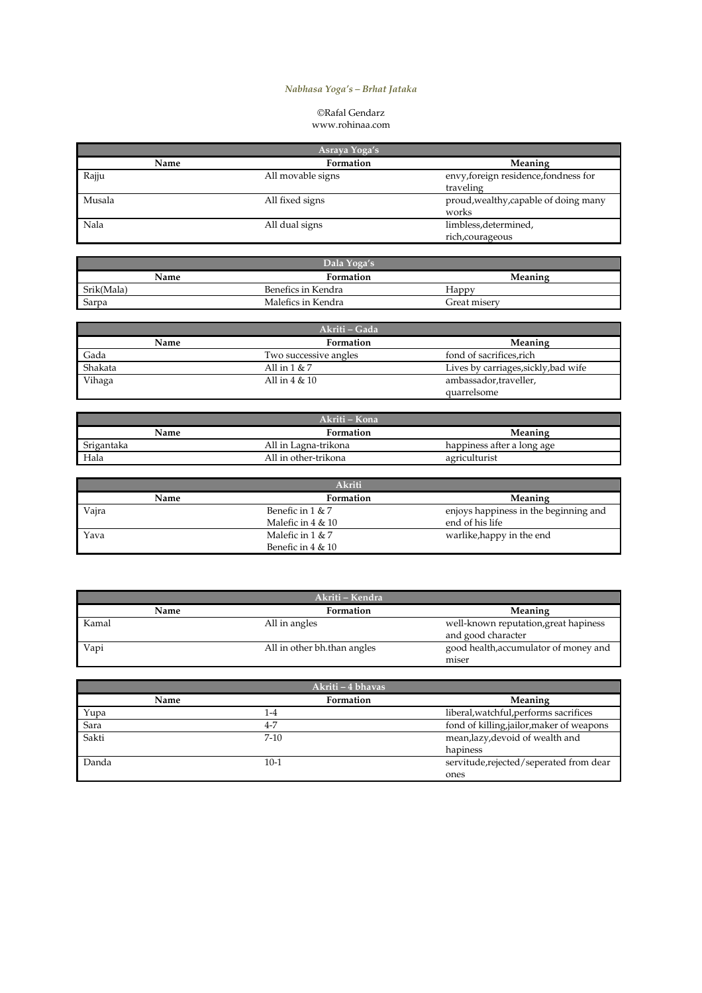## Nabhasa Yoga's – Brhat Jataka

## ©Rafal Gendarz www.rohinaa.com

|        | Asraya Yoga's     |                                                    |
|--------|-------------------|----------------------------------------------------|
| Name   | Formation         | Meaning                                            |
| Rajju  | All movable signs | envy, foreign residence, fondness for<br>traveling |
| Musala | All fixed signs   | proud, wealthy, capable of doing many<br>works     |
| Nala   | All dual signs    | limbless, determined,<br>rich, courageous          |

| Dala Yoga's |                    |              |  |
|-------------|--------------------|--------------|--|
| Name        | <b>Formation</b>   | Meaning      |  |
| Srik(Mala)  | Benefics in Kendra | Happy        |  |
| Sarpa       | Malefics in Kendra | Great miserv |  |

|         | Akriti – Gada         |                                      |
|---------|-----------------------|--------------------------------------|
| Name    | Formation             | <b>Meaning</b>                       |
| Gada    | Two successive angles | fond of sacrifices, rich             |
| Shakata | All in $1 & 7$        | Lives by carriages, sickly, bad wife |
| Vihaga  | All in $4 & 10$       | ambassador, traveller,               |
|         |                       | quarrelsome                          |

|            | Akriti – Kona        |                            |
|------------|----------------------|----------------------------|
| Name       | <b>Formation</b>     | Meaning                    |
| Srigantaka | All in Lagna-trikona | happiness after a long age |
| Hala       | All in other-trikona | agriculturist              |

|       | Akriti               |                                       |
|-------|----------------------|---------------------------------------|
| Name  | Formation            | <b>Meaning</b>                        |
| Vajra | Benefic in $1 \& 7$  | enjoys happiness in the beginning and |
|       | Malefic in $4 \& 10$ | end of his life                       |
| Yava  | Malefic in $1 & 7$   | warlike, happy in the end             |
|       | Benefic in $4 \& 10$ |                                       |

|       | Akriti – Kendra             |                                                             |
|-------|-----------------------------|-------------------------------------------------------------|
| Name  | Formation                   | <b>Meaning</b>                                              |
| Kamal | All in angles               | well-known reputation, great hapiness<br>and good character |
| Vapi  | All in other bh.than angles | good health, accumulator of money and<br>miser              |

|       | Akriti – 4 bhavas |                                           |
|-------|-------------------|-------------------------------------------|
| Name  | Formation         | <b>Meaning</b>                            |
| Yupa  | $1 - 4$           | liberal, watchful, performs sacrifices    |
| Sara  | 4-7               | fond of killing, jailor, maker of weapons |
| Sakti | $7 - 10$          | mean,lazy,devoid of wealth and            |
|       |                   | hapiness                                  |
| Danda | $10-1$            | servitude, rejected/seperated from dear   |
|       |                   | ones                                      |